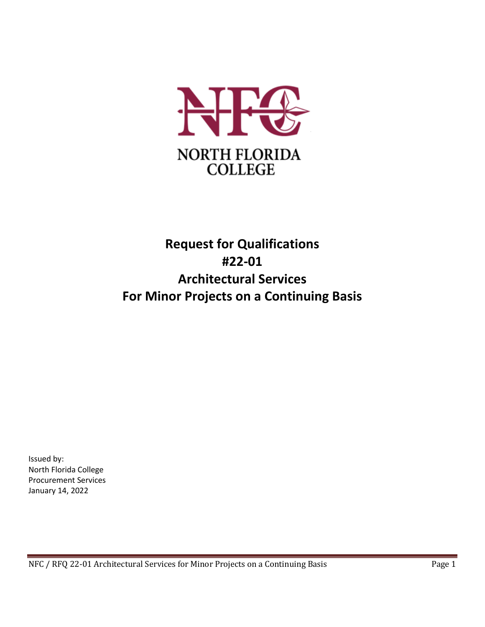

# **Request for Qualifications #22-01 Architectural Services For Minor Projects on a Continuing Basis**

Issued by: North Florida College Procurement Services January 14, 2022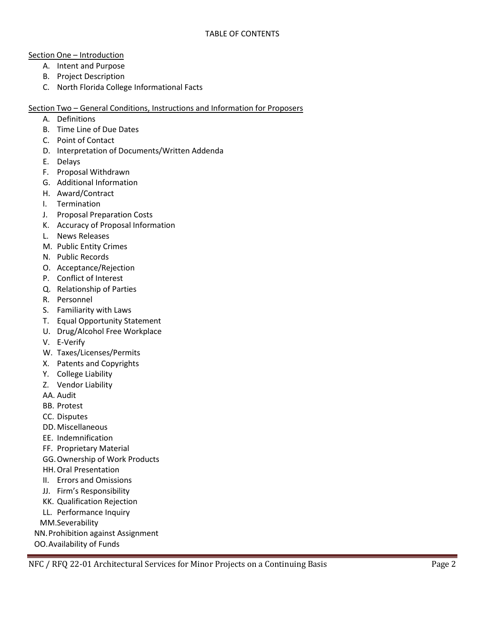#### Section One – Introduction

- A. Intent and Purpose
- B. Project Description
- C. North Florida College Informational Facts

Section Two – General Conditions, Instructions and Information for Proposers

- A. Definitions
- B. Time Line of Due Dates
- C. Point of Contact
- D. Interpretation of Documents/Written Addenda
- E. Delays
- F. Proposal Withdrawn
- G. Additional Information
- H. Award/Contract
- I. Termination
- J. Proposal Preparation Costs
- K. Accuracy of Proposal Information
- L. News Releases
- M. Public Entity Crimes
- N. Public Records
- O. Acceptance/Rejection
- P. Conflict of Interest
- Q. Relationship of Parties
- R. Personnel
- S. Familiarity with Laws
- T. Equal Opportunity Statement
- U. Drug/Alcohol Free Workplace
- V. E-Verify
- W. Taxes/Licenses/Permits
- X. Patents and Copyrights
- Y. College Liability
- Z. Vendor Liability
- AA. Audit
- BB. Protest
- CC. Disputes
- DD.Miscellaneous
- EE. Indemnification
- FF. Proprietary Material
- GG.Ownership of Work Products
- HH.Oral Presentation
- II. Errors and Omissions
- JJ. Firm's Responsibility
- KK. Qualification Rejection
- LL. Performance Inquiry
- MM.Severability
- NN.Prohibition against Assignment
- OO.Availability of Funds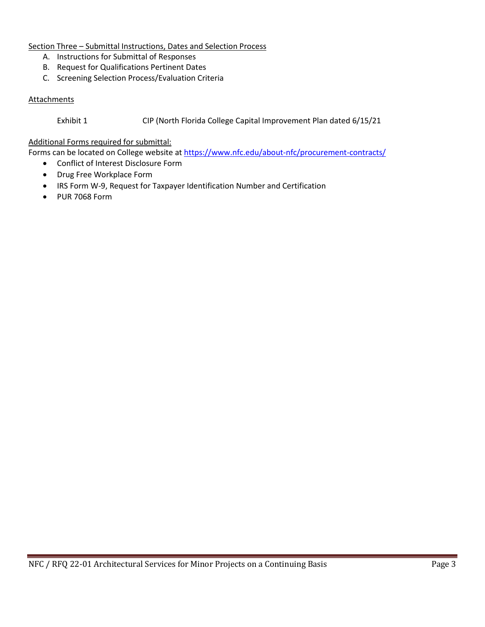#### Section Three – Submittal Instructions, Dates and Selection Process

- A. Instructions for Submittal of Responses
- B. Request for Qualifications Pertinent Dates
- C. Screening Selection Process/Evaluation Criteria

#### **Attachments**

Exhibit 1 CIP (North Florida College Capital Improvement Plan dated 6/15/21

Additional Forms required for submittal:

Forms can be located on College website at<https://www.nfc.edu/about-nfc/procurement-contracts/>

- Conflict of Interest Disclosure Form
- Drug Free Workplace Form
- IRS Form W-9, Request for Taxpayer Identification Number and Certification
- PUR 7068 Form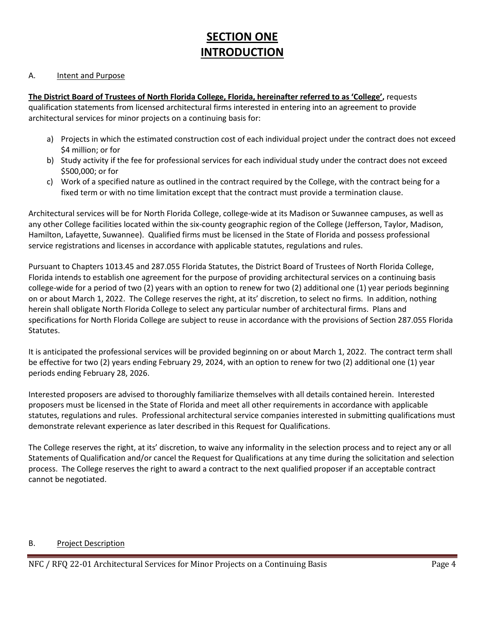## **SECTION ONE INTRODUCTION**

#### A. **Intent and Purpose**

**The District Board of Trustees of North Florida College, Florida, hereinafter referred to as 'College',** requests qualification statements from licensed architectural firms interested in entering into an agreement to provide architectural services for minor projects on a continuing basis for:

- a) Projects in which the estimated construction cost of each individual project under the contract does not exceed \$4 million; or for
- b) Study activity if the fee for professional services for each individual study under the contract does not exceed \$500,000; or for
- c) Work of a specified nature as outlined in the contract required by the College, with the contract being for a fixed term or with no time limitation except that the contract must provide a termination clause.

Architectural services will be for North Florida College, college-wide at its Madison or Suwannee campuses, as well as any other College facilities located within the six-county geographic region of the College (Jefferson, Taylor, Madison, Hamilton, Lafayette, Suwannee). Qualified firms must be licensed in the State of Florida and possess professional service registrations and licenses in accordance with applicable statutes, regulations and rules.

Pursuant to Chapters 1013.45 and 287.055 Florida Statutes, the District Board of Trustees of North Florida College, Florida intends to establish one agreement for the purpose of providing architectural services on a continuing basis college-wide for a period of two (2) years with an option to renew for two (2) additional one (1) year periods beginning on or about March 1, 2022. The College reserves the right, at its' discretion, to select no firms. In addition, nothing herein shall obligate North Florida College to select any particular number of architectural firms. Plans and specifications for North Florida College are subject to reuse in accordance with the provisions of Section 287.055 Florida Statutes.

It is anticipated the professional services will be provided beginning on or about March 1, 2022. The contract term shall be effective for two (2) years ending February 29, 2024, with an option to renew for two (2) additional one (1) year periods ending February 28, 2026.

Interested proposers are advised to thoroughly familiarize themselves with all details contained herein. Interested proposers must be licensed in the State of Florida and meet all other requirements in accordance with applicable statutes, regulations and rules. Professional architectural service companies interested in submitting qualifications must demonstrate relevant experience as later described in this Request for Qualifications.

The College reserves the right, at its' discretion, to waive any informality in the selection process and to reject any or all Statements of Qualification and/or cancel the Request for Qualifications at any time during the solicitation and selection process. The College reserves the right to award a contract to the next qualified proposer if an acceptable contract cannot be negotiated.

#### B. Project Description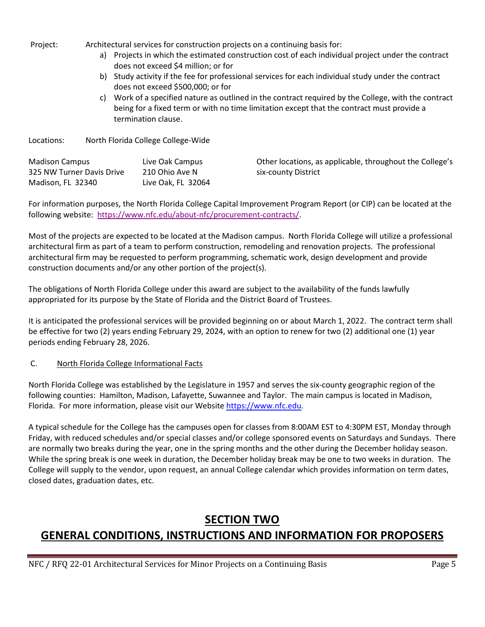- Project: Architectural services for construction projects on a continuing basis for:
	- a) Projects in which the estimated construction cost of each individual project under the contract does not exceed \$4 million; or for
	- b) Study activity if the fee for professional services for each individual study under the contract does not exceed \$500,000; or for
	- c) Work of a specified nature as outlined in the contract required by the College, with the contract being for a fixed term or with no time limitation except that the contract must provide a termination clause.

Locations: North Florida College College-Wide

| <b>Madison Campus</b>     | Live Oak Campus    | Other locations, as applicable, throughout the College's |
|---------------------------|--------------------|----------------------------------------------------------|
| 325 NW Turner Davis Drive | 210 Ohio Ave N     | six-county District                                      |
| Madison, FL 32340         | Live Oak, FL 32064 |                                                          |

For information purposes, the North Florida College Capital Improvement Program Report (or CIP) can be located at the following website: [https://www.nfc.edu/about-nfc/procurement-contracts/.](https://www.nfc.edu/about-nfc/procurement-contracts/)

Most of the projects are expected to be located at the Madison campus. North Florida College will utilize a professional architectural firm as part of a team to perform construction, remodeling and renovation projects. The professional architectural firm may be requested to perform programming, schematic work, design development and provide construction documents and/or any other portion of the project(s).

The obligations of North Florida College under this award are subject to the availability of the funds lawfully appropriated for its purpose by the State of Florida and the District Board of Trustees.

It is anticipated the professional services will be provided beginning on or about March 1, 2022. The contract term shall be effective for two (2) years ending February 29, 2024, with an option to renew for two (2) additional one (1) year periods ending February 28, 2026.

#### C. North Florida College Informational Facts

North Florida College was established by the Legislature in 1957 and serves the six-county geographic region of the following counties: Hamilton, Madison, Lafayette, Suwannee and Taylor. The main campus is located in Madison, Florida. For more information, please visit our Websit[e https://www.nfc.edu.](https://www.nfc.edu/)

A typical schedule for the College has the campuses open for classes from 8:00AM EST to 4:30PM EST, Monday through Friday, with reduced schedules and/or special classes and/or college sponsored events on Saturdays and Sundays. There are normally two breaks during the year, one in the spring months and the other during the December holiday season. While the spring break is one week in duration, the December holiday break may be one to two weeks in duration. The College will supply to the vendor, upon request, an annual College calendar which provides information on term dates, closed dates, graduation dates, etc.

## **SECTION TWO GENERAL CONDITIONS, INSTRUCTIONS AND INFORMATION FOR PROPOSERS**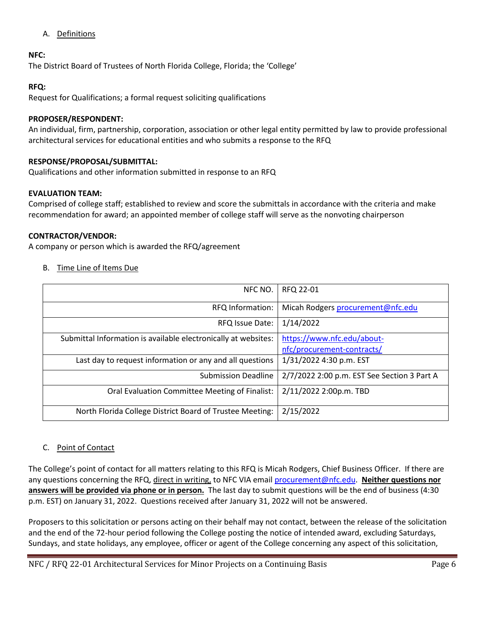#### A. Definitions

#### **NFC:**

The District Board of Trustees of North Florida College, Florida; the 'College'

#### **RFQ:**

Request for Qualifications; a formal request soliciting qualifications

#### **PROPOSER/RESPONDENT:**

An individual, firm, partnership, corporation, association or other legal entity permitted by law to provide professional architectural services for educational entities and who submits a response to the RFQ

#### **RESPONSE/PROPOSAL/SUBMITTAL:**

Qualifications and other information submitted in response to an RFQ

#### **EVALUATION TEAM:**

Comprised of college staff; established to review and score the submittals in accordance with the criteria and make recommendation for award; an appointed member of college staff will serve as the nonvoting chairperson

#### **CONTRACTOR/VENDOR:**

A company or person which is awarded the RFQ/agreement

B. Time Line of Items Due

| NFC NO.                                                        | RFQ 22-01                                   |
|----------------------------------------------------------------|---------------------------------------------|
| RFQ Information:                                               | Micah Rodgers procurement@nfc.edu           |
| RFQ Issue Date:                                                | 1/14/2022                                   |
| Submittal Information is available electronically at websites: | https://www.nfc.edu/about-                  |
|                                                                | nfc/procurement-contracts/                  |
| Last day to request information or any and all questions       | 1/31/2022 4:30 p.m. EST                     |
| <b>Submission Deadline</b>                                     | 2/7/2022 2:00 p.m. EST See Section 3 Part A |
| Oral Evaluation Committee Meeting of Finalist:                 | 2/11/2022 2:00p.m. TBD                      |
| North Florida College District Board of Trustee Meeting:       | 2/15/2022                                   |

#### C. Point of Contact

The College's point of contact for all matters relating to this RFQ is Micah Rodgers, Chief Business Officer. If there are any questions concerning the RFQ, direct in writing, to NFC VIA email [procurement@nfc.edu.](mailto:procurement@nfc.edu) **Neither questions nor answers will be provided via phone or in person.** The last day to submit questions will be the end of business (4:30 p.m. EST) on January 31, 2022. Questions received after January 31, 2022 will not be answered.

Proposers to this solicitation or persons acting on their behalf may not contact, between the release of the solicitation and the end of the 72-hour period following the College posting the notice of intended award, excluding Saturdays, Sundays, and state holidays, any employee, officer or agent of the College concerning any aspect of this solicitation,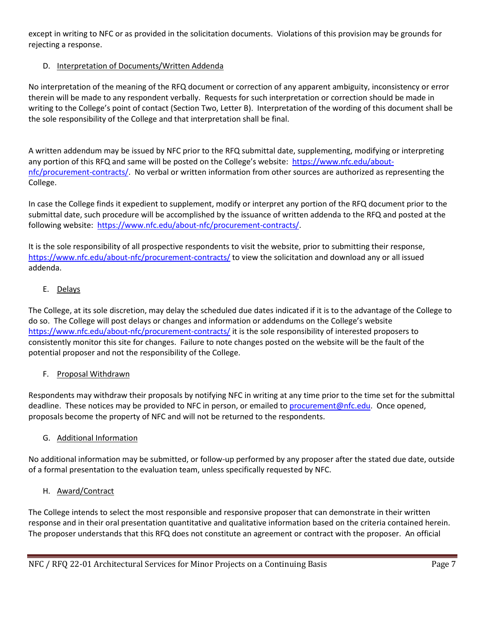except in writing to NFC or as provided in the solicitation documents. Violations of this provision may be grounds for rejecting a response.

## D. Interpretation of Documents/Written Addenda

No interpretation of the meaning of the RFQ document or correction of any apparent ambiguity, inconsistency or error therein will be made to any respondent verbally. Requests for such interpretation or correction should be made in writing to the College's point of contact (Section Two, Letter B). Interpretation of the wording of this document shall be the sole responsibility of the College and that interpretation shall be final.

A written addendum may be issued by NFC prior to the RFQ submittal date, supplementing, modifying or interpreting any portion of this RFQ and same will be posted on the College's website: [https://www.nfc.edu/about](https://www.nfc.edu/about-nfc/procurement-contracts/)[nfc/procurement-contracts/.](https://www.nfc.edu/about-nfc/procurement-contracts/) No verbal or written information from other sources are authorized as representing the College.

In case the College finds it expedient to supplement, modify or interpret any portion of the RFQ document prior to the submittal date, such procedure will be accomplished by the issuance of written addenda to the RFQ and posted at the following website: [https://www.nfc.edu/about-nfc/procurement-contracts/.](https://www.nfc.edu/about-nfc/procurement-contracts/)

It is the sole responsibility of all prospective respondents to visit the website, prior to submitting their response, <https://www.nfc.edu/about-nfc/procurement-contracts/> to view the solicitation and download any or all issued addenda.

## E. Delays

The College, at its sole discretion, may delay the scheduled due dates indicated if it is to the advantage of the College to do so. The College will post delays or changes and information or addendums on the College's website <https://www.nfc.edu/about-nfc/procurement-contracts/> it is the sole responsibility of interested proposers to consistently monitor this site for changes. Failure to note changes posted on the website will be the fault of the potential proposer and not the responsibility of the College.

## F. Proposal Withdrawn

Respondents may withdraw their proposals by notifying NFC in writing at any time prior to the time set for the submittal deadline. These notices may be provided to NFC in person, or emailed to [procurement@nfc.edu.](mailto:procurement@nfc.edu) Once opened, proposals become the property of NFC and will not be returned to the respondents.

## G. Additional Information

No additional information may be submitted, or follow-up performed by any proposer after the stated due date, outside of a formal presentation to the evaluation team, unless specifically requested by NFC.

## H. Award/Contract

The College intends to select the most responsible and responsive proposer that can demonstrate in their written response and in their oral presentation quantitative and qualitative information based on the criteria contained herein. The proposer understands that this RFQ does not constitute an agreement or contract with the proposer. An official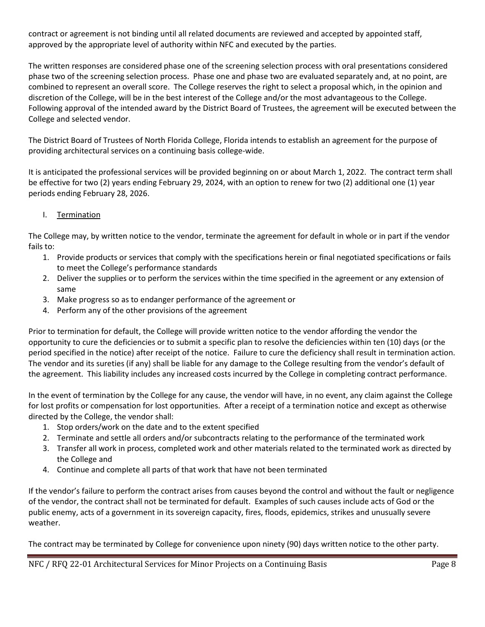contract or agreement is not binding until all related documents are reviewed and accepted by appointed staff, approved by the appropriate level of authority within NFC and executed by the parties.

The written responses are considered phase one of the screening selection process with oral presentations considered phase two of the screening selection process. Phase one and phase two are evaluated separately and, at no point, are combined to represent an overall score. The College reserves the right to select a proposal which, in the opinion and discretion of the College, will be in the best interest of the College and/or the most advantageous to the College. Following approval of the intended award by the District Board of Trustees, the agreement will be executed between the College and selected vendor.

The District Board of Trustees of North Florida College, Florida intends to establish an agreement for the purpose of providing architectural services on a continuing basis college-wide.

It is anticipated the professional services will be provided beginning on or about March 1, 2022. The contract term shall be effective for two (2) years ending February 29, 2024, with an option to renew for two (2) additional one (1) year periods ending February 28, 2026.

## I. Termination

The College may, by written notice to the vendor, terminate the agreement for default in whole or in part if the vendor fails to:

- 1. Provide products or services that comply with the specifications herein or final negotiated specifications or fails to meet the College's performance standards
- 2. Deliver the supplies or to perform the services within the time specified in the agreement or any extension of same
- 3. Make progress so as to endanger performance of the agreement or
- 4. Perform any of the other provisions of the agreement

Prior to termination for default, the College will provide written notice to the vendor affording the vendor the opportunity to cure the deficiencies or to submit a specific plan to resolve the deficiencies within ten (10) days (or the period specified in the notice) after receipt of the notice. Failure to cure the deficiency shall result in termination action. The vendor and its sureties (if any) shall be liable for any damage to the College resulting from the vendor's default of the agreement. This liability includes any increased costs incurred by the College in completing contract performance.

In the event of termination by the College for any cause, the vendor will have, in no event, any claim against the College for lost profits or compensation for lost opportunities. After a receipt of a termination notice and except as otherwise directed by the College, the vendor shall:

- 1. Stop orders/work on the date and to the extent specified
- 2. Terminate and settle all orders and/or subcontracts relating to the performance of the terminated work
- 3. Transfer all work in process, completed work and other materials related to the terminated work as directed by the College and
- 4. Continue and complete all parts of that work that have not been terminated

If the vendor's failure to perform the contract arises from causes beyond the control and without the fault or negligence of the vendor, the contract shall not be terminated for default. Examples of such causes include acts of God or the public enemy, acts of a government in its sovereign capacity, fires, floods, epidemics, strikes and unusually severe weather.

The contract may be terminated by College for convenience upon ninety (90) days written notice to the other party.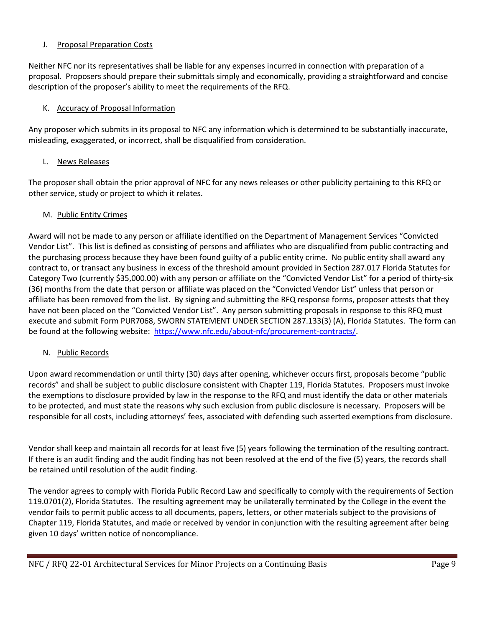#### J. Proposal Preparation Costs

Neither NFC nor its representatives shall be liable for any expenses incurred in connection with preparation of a proposal. Proposers should prepare their submittals simply and economically, providing a straightforward and concise description of the proposer's ability to meet the requirements of the RFQ.

#### K. Accuracy of Proposal Information

Any proposer which submits in its proposal to NFC any information which is determined to be substantially inaccurate, misleading, exaggerated, or incorrect, shall be disqualified from consideration.

#### L. News Releases

The proposer shall obtain the prior approval of NFC for any news releases or other publicity pertaining to this RFQ or other service, study or project to which it relates.

#### M. Public Entity Crimes

Award will not be made to any person or affiliate identified on the Department of Management Services "Convicted Vendor List". This list is defined as consisting of persons and affiliates who are disqualified from public contracting and the purchasing process because they have been found guilty of a public entity crime. No public entity shall award any contract to, or transact any business in excess of the threshold amount provided in Section 287.017 Florida Statutes for Category Two (currently \$35,000.00) with any person or affiliate on the "Convicted Vendor List" for a period of thirty-six (36) months from the date that person or affiliate was placed on the "Convicted Vendor List" unless that person or affiliate has been removed from the list. By signing and submitting the RFQ response forms, proposer attests that they have not been placed on the "Convicted Vendor List". Any person submitting proposals in response to this RFQ must execute and submit Form PUR7068, SWORN STATEMENT UNDER SECTION 287.133(3) (A), Florida Statutes. The form can be found at the following website: [https://www.nfc.edu/about-nfc/procurement-contracts/.](https://www.nfc.edu/about-nfc/procurement-contracts/)

#### N. Public Records

Upon award recommendation or until thirty (30) days after opening, whichever occurs first, proposals become "public records" and shall be subject to public disclosure consistent with Chapter 119, Florida Statutes. Proposers must invoke the exemptions to disclosure provided by law in the response to the RFQ and must identify the data or other materials to be protected, and must state the reasons why such exclusion from public disclosure is necessary. Proposers will be responsible for all costs, including attorneys' fees, associated with defending such asserted exemptions from disclosure.

Vendor shall keep and maintain all records for at least five (5) years following the termination of the resulting contract. If there is an audit finding and the audit finding has not been resolved at the end of the five (5) years, the records shall be retained until resolution of the audit finding.

The vendor agrees to comply with Florida Public Record Law and specifically to comply with the requirements of Section 119.0701(2), Florida Statutes. The resulting agreement may be unilaterally terminated by the College in the event the vendor fails to permit public access to all documents, papers, letters, or other materials subject to the provisions of Chapter 119, Florida Statutes, and made or received by vendor in conjunction with the resulting agreement after being given 10 days' written notice of noncompliance.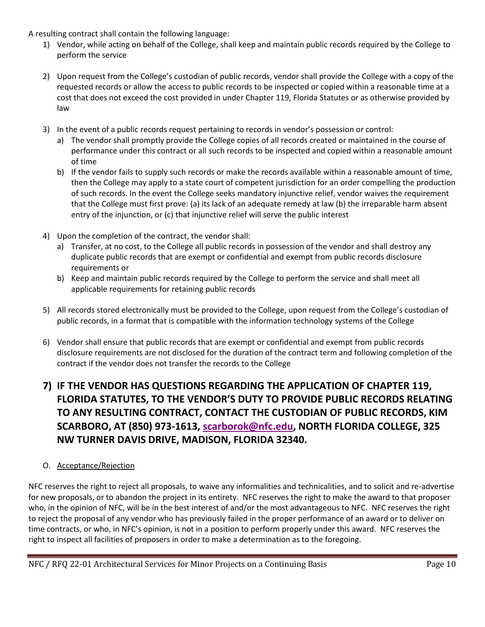A resulting contract shall contain the following language:

- 1) Vendor, while acting on behalf of the College, shall keep and maintain public records required by the College to perform the service
- 2) Upon request from the College's custodian of public records, vendor shall provide the College with a copy of the requested records or allow the access to public records to be inspected or copied within a reasonable time at a cost that does not exceed the cost provided in under Chapter 119, Florida Statutes or as otherwise provided by law
- 3) In the event of a public records request pertaining to records in vendor's possession or control:
	- a) The vendor shall promptly provide the College copies of all records created or maintained in the course of performance under this contract or all such records to be inspected and copied within a reasonable amount of time
	- b) If the vendor fails to supply such records or make the records available within a reasonable amount of time, then the College may apply to a state court of competent jurisdiction for an order compelling the production of such records. In the event the College seeks mandatory injunctive relief, vendor waives the requirement that the College must first prove: (a) its lack of an adequate remedy at law (b) the irreparable harm absent entry of the injunction, or (c) that injunctive relief will serve the public interest
- 4) Upon the completion of the contract, the vendor shall:
	- a) Transfer, at no cost, to the College all public records in possession of the vendor and shall destroy any duplicate public records that are exempt or confidential and exempt from public records disclosure requirements or
	- b) Keep and maintain public records required by the College to perform the service and shall meet all applicable requirements for retaining public records
- 5) All records stored electronically must be provided to the College, upon request from the College's custodian of public records, in a format that is compatible with the information technology systems of the College
- 6) Vendor shall ensure that public records that are exempt or confidential and exempt from public records disclosure requirements are not disclosed for the duration of the contract term and following completion of the contract if the vendor does not transfer the records to the College

## **7) IF THE VENDOR HAS QUESTIONS REGARDING THE APPLICATION OF CHAPTER 119, FLORIDA STATUTES, TO THE VENDOR'S DUTY TO PROVIDE PUBLIC RECORDS RELATING TO ANY RESULTING CONTRACT, CONTACT THE CUSTODIAN OF PUBLIC RECORDS, KIM SCARBORO, AT (850) 973-1613, [scarborok@nfc.edu,](mailto:scarborok@nfc.edu) NORTH FLORIDA COLLEGE, 325 NW TURNER DAVIS DRIVE, MADISON, FLORIDA 32340.**

## O. Acceptance/Rejection

NFC reserves the right to reject all proposals, to waive any informalities and technicalities, and to solicit and re-advertise for new proposals, or to abandon the project in its entirety. NFC reserves the right to make the award to that proposer who, in the opinion of NFC, will be in the best interest of and/or the most advantageous to NFC. NFC reserves the right to reject the proposal of any vendor who has previously failed in the proper performance of an award or to deliver on time contracts, or who, in NFC's opinion, is not in a position to perform properly under this award. NFC reserves the right to inspect all facilities of proposers in order to make a determination as to the foregoing.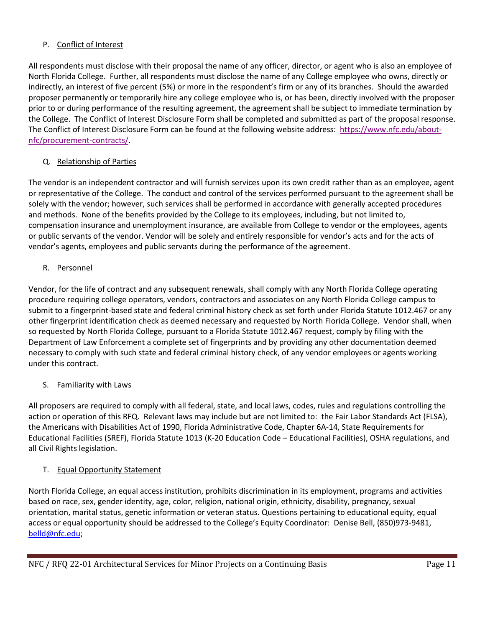## P. Conflict of Interest

All respondents must disclose with their proposal the name of any officer, director, or agent who is also an employee of North Florida College. Further, all respondents must disclose the name of any College employee who owns, directly or indirectly, an interest of five percent (5%) or more in the respondent's firm or any of its branches. Should the awarded proposer permanently or temporarily hire any college employee who is, or has been, directly involved with the proposer prior to or during performance of the resulting agreement, the agreement shall be subject to immediate termination by the College. The Conflict of Interest Disclosure Form shall be completed and submitted as part of the proposal response. The Conflict of Interest Disclosure Form can be found at the following website address: [https://www.nfc.edu/about](https://www.nfc.edu/about-nfc/procurement-contracts/)[nfc/procurement-contracts/.](https://www.nfc.edu/about-nfc/procurement-contracts/)

## Q. Relationship of Parties

The vendor is an independent contractor and will furnish services upon its own credit rather than as an employee, agent or representative of the College. The conduct and control of the services performed pursuant to the agreement shall be solely with the vendor; however, such services shall be performed in accordance with generally accepted procedures and methods. None of the benefits provided by the College to its employees, including, but not limited to, compensation insurance and unemployment insurance, are available from College to vendor or the employees, agents or public servants of the vendor. Vendor will be solely and entirely responsible for vendor's acts and for the acts of vendor's agents, employees and public servants during the performance of the agreement.

#### R. Personnel

Vendor, for the life of contract and any subsequent renewals, shall comply with any North Florida College operating procedure requiring college operators, vendors, contractors and associates on any North Florida College campus to submit to a fingerprint-based state and federal criminal history check as set forth under Florida Statute 1012.467 or any other fingerprint identification check as deemed necessary and requested by North Florida College. Vendor shall, when so requested by North Florida College, pursuant to a Florida Statute 1012.467 request, comply by filing with the Department of Law Enforcement a complete set of fingerprints and by providing any other documentation deemed necessary to comply with such state and federal criminal history check, of any vendor employees or agents working under this contract.

## S. Familiarity with Laws

All proposers are required to comply with all federal, state, and local laws, codes, rules and regulations controlling the action or operation of this RFQ. Relevant laws may include but are not limited to: the Fair Labor Standards Act (FLSA), the Americans with Disabilities Act of 1990, Florida Administrative Code, Chapter 6A-14, State Requirements for Educational Facilities (SREF), Florida Statute 1013 (K-20 Education Code – Educational Facilities), OSHA regulations, and all Civil Rights legislation.

#### T. Equal Opportunity Statement

North Florida College, an equal access institution, prohibits discrimination in its employment, programs and activities based on race, sex, gender identity, age, color, religion, national origin, ethnicity, disability, pregnancy, sexual orientation, marital status, genetic information or veteran status. Questions pertaining to educational equity, equal access or equal opportunity should be addressed to the College's Equity Coordinator: Denise Bell, (850)973-9481, [belld@nfc.edu;](mailto:belld@nfc.edu)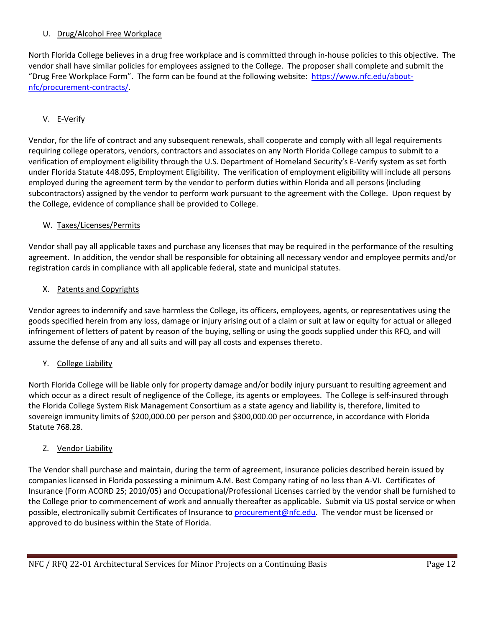#### U. Drug/Alcohol Free Workplace

North Florida College believes in a drug free workplace and is committed through in-house policies to this objective. The vendor shall have similar policies for employees assigned to the College. The proposer shall complete and submit the "Drug Free Workplace Form". The form can be found at the following website: [https://www.nfc.edu/about](https://www.nfc.edu/about-nfc/procurement-contracts/)[nfc/procurement-contracts/.](https://www.nfc.edu/about-nfc/procurement-contracts/)

## V. E-Verify

Vendor, for the life of contract and any subsequent renewals, shall cooperate and comply with all legal requirements requiring college operators, vendors, contractors and associates on any North Florida College campus to submit to a verification of employment eligibility through the U.S. Department of Homeland Security's E-Verify system as set forth under Florida Statute 448.095, Employment Eligibility. The verification of employment eligibility will include all persons employed during the agreement term by the vendor to perform duties within Florida and all persons (including subcontractors) assigned by the vendor to perform work pursuant to the agreement with the College. Upon request by the College, evidence of compliance shall be provided to College.

## W. Taxes/Licenses/Permits

Vendor shall pay all applicable taxes and purchase any licenses that may be required in the performance of the resulting agreement. In addition, the vendor shall be responsible for obtaining all necessary vendor and employee permits and/or registration cards in compliance with all applicable federal, state and municipal statutes.

## X. Patents and Copyrights

Vendor agrees to indemnify and save harmless the College, its officers, employees, agents, or representatives using the goods specified herein from any loss, damage or injury arising out of a claim or suit at law or equity for actual or alleged infringement of letters of patent by reason of the buying, selling or using the goods supplied under this RFQ, and will assume the defense of any and all suits and will pay all costs and expenses thereto.

## Y. College Liability

North Florida College will be liable only for property damage and/or bodily injury pursuant to resulting agreement and which occur as a direct result of negligence of the College, its agents or employees. The College is self-insured through the Florida College System Risk Management Consortium as a state agency and liability is, therefore, limited to sovereign immunity limits of \$200,000.00 per person and \$300,000.00 per occurrence, in accordance with Florida Statute 768.28.

## Z. Vendor Liability

The Vendor shall purchase and maintain, during the term of agreement, insurance policies described herein issued by companies licensed in Florida possessing a minimum A.M. Best Company rating of no less than A-VI. Certificates of Insurance (Form ACORD 25; 2010/05) and Occupational/Professional Licenses carried by the vendor shall be furnished to the College prior to commencement of work and annually thereafter as applicable. Submit via US postal service or when possible, electronically submit Certificates of Insurance to [procurement@nfc.edu.](mailto:procurement@nfc.edu) The vendor must be licensed or approved to do business within the State of Florida.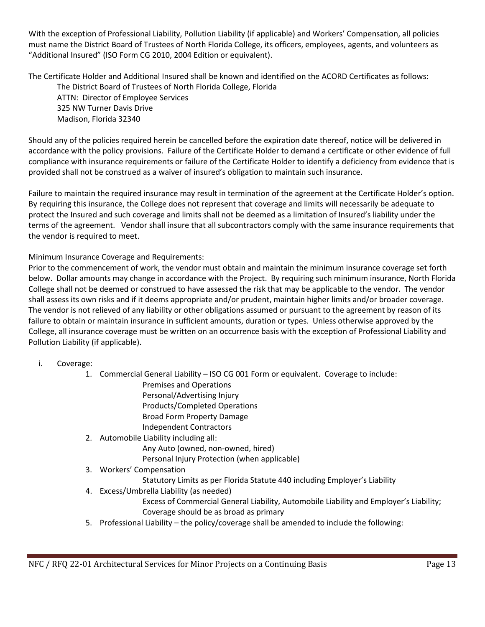With the exception of Professional Liability, Pollution Liability (if applicable) and Workers' Compensation, all policies must name the District Board of Trustees of North Florida College, its officers, employees, agents, and volunteers as "Additional Insured" (ISO Form CG 2010, 2004 Edition or equivalent).

The Certificate Holder and Additional Insured shall be known and identified on the ACORD Certificates as follows:

The District Board of Trustees of North Florida College, Florida ATTN: Director of Employee Services 325 NW Turner Davis Drive Madison, Florida 32340

Should any of the policies required herein be cancelled before the expiration date thereof, notice will be delivered in accordance with the policy provisions. Failure of the Certificate Holder to demand a certificate or other evidence of full compliance with insurance requirements or failure of the Certificate Holder to identify a deficiency from evidence that is provided shall not be construed as a waiver of insured's obligation to maintain such insurance.

Failure to maintain the required insurance may result in termination of the agreement at the Certificate Holder's option. By requiring this insurance, the College does not represent that coverage and limits will necessarily be adequate to protect the Insured and such coverage and limits shall not be deemed as a limitation of Insured's liability under the terms of the agreement. Vendor shall insure that all subcontractors comply with the same insurance requirements that the vendor is required to meet.

Minimum Insurance Coverage and Requirements:

Prior to the commencement of work, the vendor must obtain and maintain the minimum insurance coverage set forth below. Dollar amounts may change in accordance with the Project. By requiring such minimum insurance, North Florida College shall not be deemed or construed to have assessed the risk that may be applicable to the vendor. The vendor shall assess its own risks and if it deems appropriate and/or prudent, maintain higher limits and/or broader coverage. The vendor is not relieved of any liability or other obligations assumed or pursuant to the agreement by reason of its failure to obtain or maintain insurance in sufficient amounts, duration or types. Unless otherwise approved by the College, all insurance coverage must be written on an occurrence basis with the exception of Professional Liability and Pollution Liability (if applicable).

- i. Coverage:
	- 1. Commercial General Liability ISO CG 001 Form or equivalent. Coverage to include:
		- Premises and Operations Personal/Advertising Injury Products/Completed Operations
			- Broad Form Property Damage
		- Independent Contractors
	- 2. Automobile Liability including all:
		- Any Auto (owned, non-owned, hired)
		- Personal Injury Protection (when applicable)
	- 3. Workers' Compensation
		- Statutory Limits as per Florida Statute 440 including Employer's Liability
	- 4. Excess/Umbrella Liability (as needed)
		- Excess of Commercial General Liability, Automobile Liability and Employer's Liability; Coverage should be as broad as primary
	- 5. Professional Liability the policy/coverage shall be amended to include the following: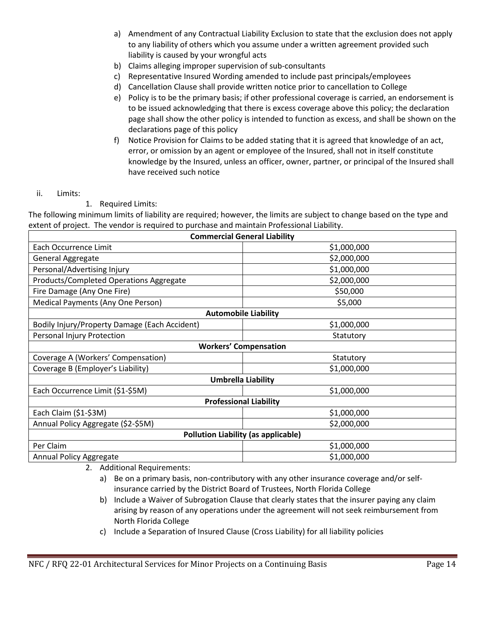- a) Amendment of any Contractual Liability Exclusion to state that the exclusion does not apply to any liability of others which you assume under a written agreement provided such liability is caused by your wrongful acts
- b) Claims alleging improper supervision of sub-consultants
- c) Representative Insured Wording amended to include past principals/employees
- d) Cancellation Clause shall provide written notice prior to cancellation to College
- e) Policy is to be the primary basis; if other professional coverage is carried, an endorsement is to be issued acknowledging that there is excess coverage above this policy; the declaration page shall show the other policy is intended to function as excess, and shall be shown on the declarations page of this policy
- f) Notice Provision for Claims to be added stating that it is agreed that knowledge of an act, error, or omission by an agent or employee of the Insured, shall not in itself constitute knowledge by the Insured, unless an officer, owner, partner, or principal of the Insured shall have received such notice

#### ii. Limits:

1. Required Limits:

The following minimum limits of liability are required; however, the limits are subject to change based on the type and extent of project. The vendor is required to purchase and maintain Professional Liability.

| <b>Commercial General Liability</b>           |             |  |  |  |
|-----------------------------------------------|-------------|--|--|--|
| Each Occurrence Limit                         | \$1,000,000 |  |  |  |
| General Aggregate                             | \$2,000,000 |  |  |  |
| Personal/Advertising Injury                   | \$1,000,000 |  |  |  |
| Products/Completed Operations Aggregate       | \$2,000,000 |  |  |  |
| Fire Damage (Any One Fire)                    | \$50,000    |  |  |  |
| Medical Payments (Any One Person)             | \$5,000     |  |  |  |
| <b>Automobile Liability</b>                   |             |  |  |  |
| Bodily Injury/Property Damage (Each Accident) | \$1,000,000 |  |  |  |
| Personal Injury Protection                    | Statutory   |  |  |  |
| <b>Workers' Compensation</b>                  |             |  |  |  |
| Coverage A (Workers' Compensation)            | Statutory   |  |  |  |
| Coverage B (Employer's Liability)             | \$1,000,000 |  |  |  |
| <b>Umbrella Liability</b>                     |             |  |  |  |
| Each Occurrence Limit (\$1-\$5M)              | \$1,000,000 |  |  |  |
| <b>Professional Liability</b>                 |             |  |  |  |
| Each Claim (\$1-\$3M)                         | \$1,000,000 |  |  |  |
| Annual Policy Aggregate (\$2-\$5M)            | \$2,000,000 |  |  |  |
| <b>Pollution Liability (as applicable)</b>    |             |  |  |  |
| Per Claim                                     | \$1,000,000 |  |  |  |
| <b>Annual Policy Aggregate</b>                | \$1,000,000 |  |  |  |

2. Additional Requirements:

a) Be on a primary basis, non-contributory with any other insurance coverage and/or selfinsurance carried by the District Board of Trustees, North Florida College

- b) Include a Waiver of Subrogation Clause that clearly states that the insurer paying any claim arising by reason of any operations under the agreement will not seek reimbursement from North Florida College
- c) Include a Separation of Insured Clause (Cross Liability) for all liability policies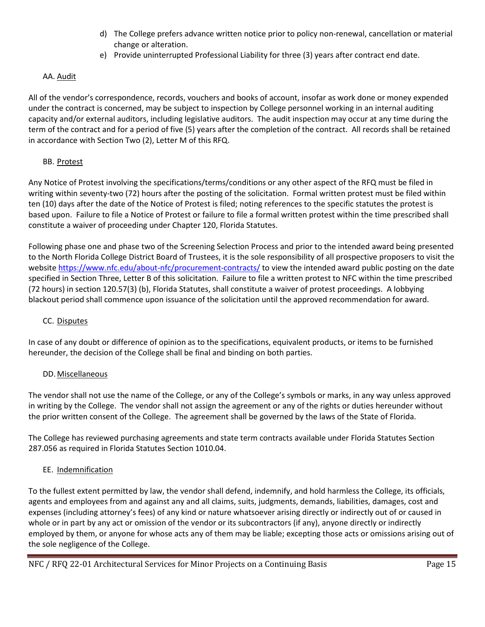- d) The College prefers advance written notice prior to policy non-renewal, cancellation or material change or alteration.
- e) Provide uninterrupted Professional Liability for three (3) years after contract end date.

## AA. Audit

All of the vendor's correspondence, records, vouchers and books of account, insofar as work done or money expended under the contract is concerned, may be subject to inspection by College personnel working in an internal auditing capacity and/or external auditors, including legislative auditors. The audit inspection may occur at any time during the term of the contract and for a period of five (5) years after the completion of the contract. All records shall be retained in accordance with Section Two (2), Letter M of this RFQ.

## BB. Protest

Any Notice of Protest involving the specifications/terms/conditions or any other aspect of the RFQ must be filed in writing within seventy-two (72) hours after the posting of the solicitation. Formal written protest must be filed within ten (10) days after the date of the Notice of Protest is filed; noting references to the specific statutes the protest is based upon. Failure to file a Notice of Protest or failure to file a formal written protest within the time prescribed shall constitute a waiver of proceeding under Chapter 120, Florida Statutes.

Following phase one and phase two of the Screening Selection Process and prior to the intended award being presented to the North Florida College District Board of Trustees, it is the sole responsibility of all prospective proposers to visit the websit[e https://www.nfc.edu/about-nfc/procurement-contracts/](https://www.nfc.edu/about-nfc/procurement-contracts/) to view the intended award public posting on the date specified in Section Three, Letter B of this solicitation. Failure to file a written protest to NFC within the time prescribed (72 hours) in section 120.57(3) (b), Florida Statutes, shall constitute a waiver of protest proceedings. A lobbying blackout period shall commence upon issuance of the solicitation until the approved recommendation for award.

## CC. Disputes

In case of any doubt or difference of opinion as to the specifications, equivalent products, or items to be furnished hereunder, the decision of the College shall be final and binding on both parties.

## DD. Miscellaneous

The vendor shall not use the name of the College, or any of the College's symbols or marks, in any way unless approved in writing by the College. The vendor shall not assign the agreement or any of the rights or duties hereunder without the prior written consent of the College. The agreement shall be governed by the laws of the State of Florida.

The College has reviewed purchasing agreements and state term contracts available under Florida Statutes Section 287.056 as required in Florida Statutes Section 1010.04.

## EE. Indemnification

To the fullest extent permitted by law, the vendor shall defend, indemnify, and hold harmless the College, its officials, agents and employees from and against any and all claims, suits, judgments, demands, liabilities, damages, cost and expenses (including attorney's fees) of any kind or nature whatsoever arising directly or indirectly out of or caused in whole or in part by any act or omission of the vendor or its subcontractors (if any), anyone directly or indirectly employed by them, or anyone for whose acts any of them may be liable; excepting those acts or omissions arising out of the sole negligence of the College.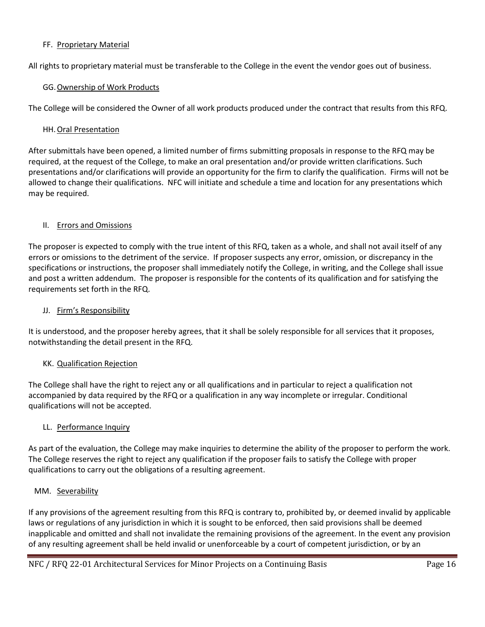#### FF. Proprietary Material

All rights to proprietary material must be transferable to the College in the event the vendor goes out of business.

#### GG.Ownership of Work Products

The College will be considered the Owner of all work products produced under the contract that results from this RFQ.

#### HH.Oral Presentation

After submittals have been opened, a limited number of firms submitting proposals in response to the RFQ may be required, at the request of the College, to make an oral presentation and/or provide written clarifications. Such presentations and/or clarifications will provide an opportunity for the firm to clarify the qualification. Firms will not be allowed to change their qualifications. NFC will initiate and schedule a time and location for any presentations which may be required.

#### II. Errors and Omissions

The proposer is expected to comply with the true intent of this RFQ, taken as a whole, and shall not avail itself of any errors or omissions to the detriment of the service. If proposer suspects any error, omission, or discrepancy in the specifications or instructions, the proposer shall immediately notify the College, in writing, and the College shall issue and post a written addendum. The proposer is responsible for the contents of its qualification and for satisfying the requirements set forth in the RFQ.

#### JJ. Firm's Responsibility

It is understood, and the proposer hereby agrees, that it shall be solely responsible for all services that it proposes, notwithstanding the detail present in the RFQ.

#### KK. Qualification Rejection

The College shall have the right to reject any or all qualifications and in particular to reject a qualification not accompanied by data required by the RFQ or a qualification in any way incomplete or irregular. Conditional qualifications will not be accepted.

#### LL. Performance Inquiry

As part of the evaluation, the College may make inquiries to determine the ability of the proposer to perform the work. The College reserves the right to reject any qualification if the proposer fails to satisfy the College with proper qualifications to carry out the obligations of a resulting agreement.

#### MM. Severability

If any provisions of the agreement resulting from this RFQ is contrary to, prohibited by, or deemed invalid by applicable laws or regulations of any jurisdiction in which it is sought to be enforced, then said provisions shall be deemed inapplicable and omitted and shall not invalidate the remaining provisions of the agreement. In the event any provision of any resulting agreement shall be held invalid or unenforceable by a court of competent jurisdiction, or by an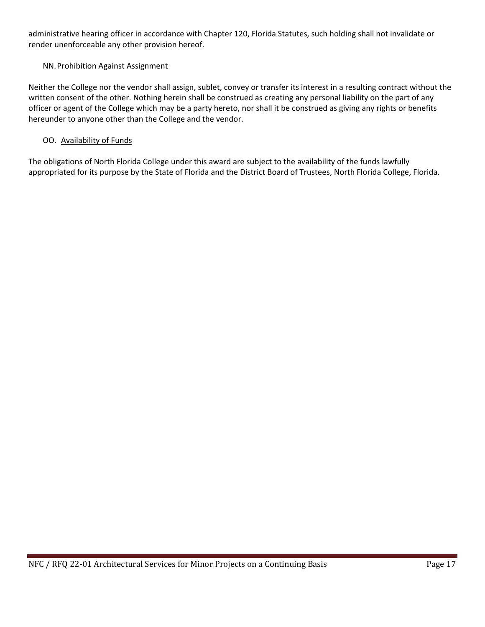administrative hearing officer in accordance with Chapter 120, Florida Statutes, such holding shall not invalidate or render unenforceable any other provision hereof.

#### NN.Prohibition Against Assignment

Neither the College nor the vendor shall assign, sublet, convey or transfer its interest in a resulting contract without the written consent of the other. Nothing herein shall be construed as creating any personal liability on the part of any officer or agent of the College which may be a party hereto, nor shall it be construed as giving any rights or benefits hereunder to anyone other than the College and the vendor.

#### OO. Availability of Funds

The obligations of North Florida College under this award are subject to the availability of the funds lawfully appropriated for its purpose by the State of Florida and the District Board of Trustees, North Florida College, Florida.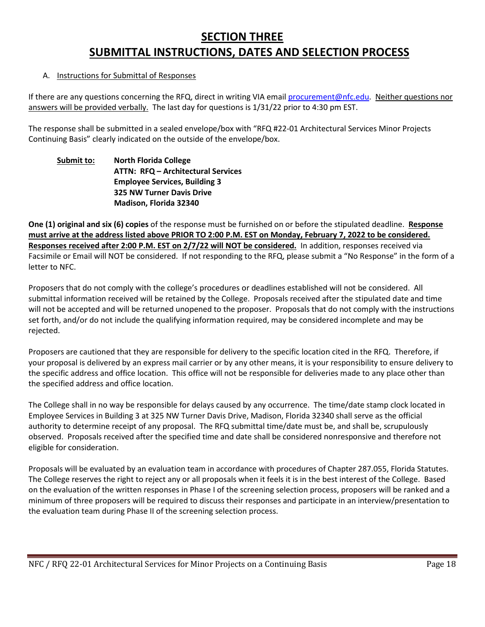## **SECTION THREE SUBMITTAL INSTRUCTIONS, DATES AND SELECTION PROCESS**

#### A. Instructions for Submittal of Responses

If there are any questions concerning the RFQ, direct in writing VIA email [procurement@nfc.edu.](mailto:procurement@nfc.edu) Neither questions nor answers will be provided verbally. The last day for questions is 1/31/22 prior to 4:30 pm EST.

The response shall be submitted in a sealed envelope/box with "RFQ #22-01 Architectural Services Minor Projects Continuing Basis" clearly indicated on the outside of the envelope/box.

#### **Submit to: North Florida College ATTN: RFQ – Architectural Services Employee Services, Building 3 325 NW Turner Davis Drive Madison, Florida 32340**

**One (1) original and six (6) copies** of the response must be furnished on or before the stipulated deadline. **Response must arrive at the address listed above PRIOR TO 2:00 P.M. EST on Monday, February 7, 2022 to be considered. Responses received after 2:00 P.M. EST on 2/7/22 will NOT be considered.** In addition, responses received via Facsimile or Email will NOT be considered. If not responding to the RFQ, please submit a "No Response" in the form of a letter to NFC.

Proposers that do not comply with the college's procedures or deadlines established will not be considered. All submittal information received will be retained by the College. Proposals received after the stipulated date and time will not be accepted and will be returned unopened to the proposer. Proposals that do not comply with the instructions set forth, and/or do not include the qualifying information required, may be considered incomplete and may be rejected.

Proposers are cautioned that they are responsible for delivery to the specific location cited in the RFQ. Therefore, if your proposal is delivered by an express mail carrier or by any other means, it is your responsibility to ensure delivery to the specific address and office location. This office will not be responsible for deliveries made to any place other than the specified address and office location.

The College shall in no way be responsible for delays caused by any occurrence. The time/date stamp clock located in Employee Services in Building 3 at 325 NW Turner Davis Drive, Madison, Florida 32340 shall serve as the official authority to determine receipt of any proposal. The RFQ submittal time/date must be, and shall be, scrupulously observed. Proposals received after the specified time and date shall be considered nonresponsive and therefore not eligible for consideration.

Proposals will be evaluated by an evaluation team in accordance with procedures of Chapter 287.055, Florida Statutes. The College reserves the right to reject any or all proposals when it feels it is in the best interest of the College. Based on the evaluation of the written responses in Phase I of the screening selection process, proposers will be ranked and a minimum of three proposers will be required to discuss their responses and participate in an interview/presentation to the evaluation team during Phase II of the screening selection process.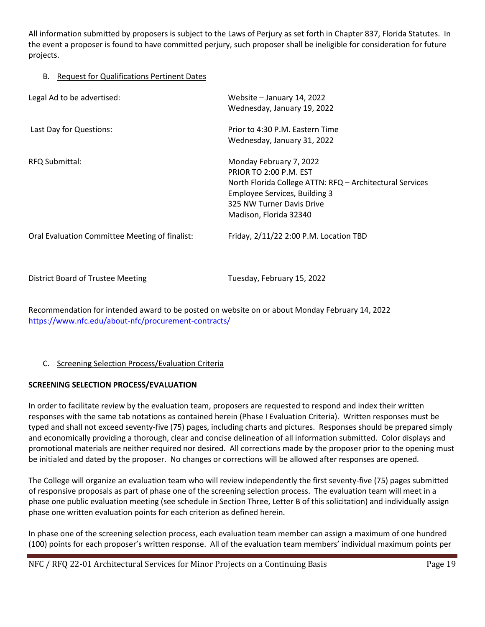All information submitted by proposers is subject to the Laws of Perjury as set forth in Chapter 837, Florida Statutes. In the event a proposer is found to have committed perjury, such proposer shall be ineligible for consideration for future projects.

#### B. Request for Qualifications Pertinent Dates

| Legal Ad to be advertised:                     | Website - January 14, 2022<br>Wednesday, January 19, 2022                                                                                                                                                    |
|------------------------------------------------|--------------------------------------------------------------------------------------------------------------------------------------------------------------------------------------------------------------|
| Last Day for Questions:                        | Prior to 4:30 P.M. Eastern Time<br>Wednesday, January 31, 2022                                                                                                                                               |
| RFQ Submittal:                                 | Monday February 7, 2022<br>PRIOR TO 2:00 P.M. EST<br>North Florida College ATTN: RFQ - Architectural Services<br><b>Employee Services, Building 3</b><br>325 NW Turner Davis Drive<br>Madison, Florida 32340 |
| Oral Evaluation Committee Meeting of finalist: | Friday, 2/11/22 2:00 P.M. Location TBD                                                                                                                                                                       |

District Board of Trustee Meeting Tuesday, February 15, 2022

Recommendation for intended award to be posted on website on or about Monday February 14, 2022 <https://www.nfc.edu/about-nfc/procurement-contracts/>

## C. Screening Selection Process/Evaluation Criteria

#### **SCREENING SELECTION PROCESS/EVALUATION**

In order to facilitate review by the evaluation team, proposers are requested to respond and index their written responses with the same tab notations as contained herein (Phase I Evaluation Criteria). Written responses must be typed and shall not exceed seventy-five (75) pages, including charts and pictures. Responses should be prepared simply and economically providing a thorough, clear and concise delineation of all information submitted. Color displays and promotional materials are neither required nor desired. All corrections made by the proposer prior to the opening must be initialed and dated by the proposer. No changes or corrections will be allowed after responses are opened.

The College will organize an evaluation team who will review independently the first seventy-five (75) pages submitted of responsive proposals as part of phase one of the screening selection process. The evaluation team will meet in a phase one public evaluation meeting (see schedule in Section Three, Letter B of this solicitation) and individually assign phase one written evaluation points for each criterion as defined herein.

In phase one of the screening selection process, each evaluation team member can assign a maximum of one hundred (100) points for each proposer's written response. All of the evaluation team members' individual maximum points per

NFC / RFQ 22-01 Architectural Services for Minor Projects on a Continuing Basis Page 19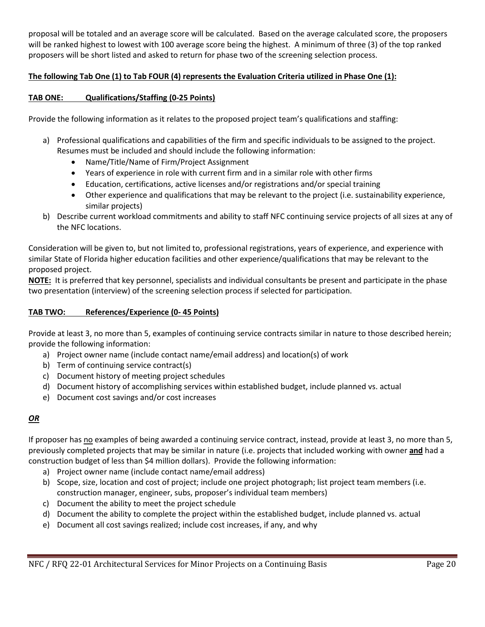proposal will be totaled and an average score will be calculated. Based on the average calculated score, the proposers will be ranked highest to lowest with 100 average score being the highest. A minimum of three (3) of the top ranked proposers will be short listed and asked to return for phase two of the screening selection process.

## **The following Tab One (1) to Tab FOUR (4) represents the Evaluation Criteria utilized in Phase One (1):**

#### **TAB ONE: Qualifications/Staffing (0-25 Points)**

Provide the following information as it relates to the proposed project team's qualifications and staffing:

- a) Professional qualifications and capabilities of the firm and specific individuals to be assigned to the project. Resumes must be included and should include the following information:
	- Name/Title/Name of Firm/Project Assignment
	- Years of experience in role with current firm and in a similar role with other firms
	- Education, certifications, active licenses and/or registrations and/or special training
	- Other experience and qualifications that may be relevant to the project (i.e. sustainability experience, similar projects)
- b) Describe current workload commitments and ability to staff NFC continuing service projects of all sizes at any of the NFC locations.

Consideration will be given to, but not limited to, professional registrations, years of experience, and experience with similar State of Florida higher education facilities and other experience/qualifications that may be relevant to the proposed project.

**NOTE:** It is preferred that key personnel, specialists and individual consultants be present and participate in the phase two presentation (interview) of the screening selection process if selected for participation.

#### **TAB TWO: References/Experience (0- 45 Points)**

Provide at least 3, no more than 5, examples of continuing service contracts similar in nature to those described herein; provide the following information:

- a) Project owner name (include contact name/email address) and location(s) of work
- b) Term of continuing service contract(s)
- c) Document history of meeting project schedules
- d) Document history of accomplishing services within established budget, include planned vs. actual
- e) Document cost savings and/or cost increases

#### *OR*

If proposer has no examples of being awarded a continuing service contract, instead, provide at least 3, no more than 5, previously completed projects that may be similar in nature (i.e. projects that included working with owner **and** had a construction budget of less than \$4 million dollars). Provide the following information:

- a) Project owner name (include contact name/email address)
- b) Scope, size, location and cost of project; include one project photograph; list project team members (i.e. construction manager, engineer, subs, proposer's individual team members)
- c) Document the ability to meet the project schedule
- d) Document the ability to complete the project within the established budget, include planned vs. actual
- e) Document all cost savings realized; include cost increases, if any, and why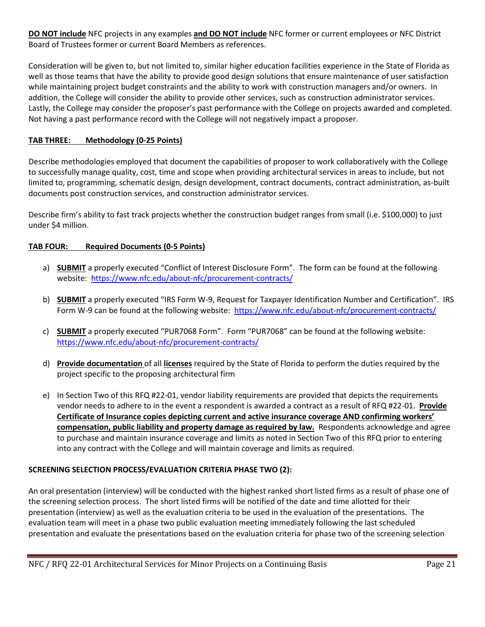**DO NOT include** NFC projects in any examples **and DO NOT include** NFC former or current employees or NFC District Board of Trustees former or current Board Members as references.

Consideration will be given to, but not limited to, similar higher education facilities experience in the State of Florida as well as those teams that have the ability to provide good design solutions that ensure maintenance of user satisfaction while maintaining project budget constraints and the ability to work with construction managers and/or owners. In addition, the College will consider the ability to provide other services, such as construction administrator services. Lastly, the College may consider the proposer's past performance with the College on projects awarded and completed. Not having a past performance record with the College will not negatively impact a proposer.

#### **TAB THREE: Methodology (0-25 Points)**

Describe methodologies employed that document the capabilities of proposer to work collaboratively with the College to successfully manage quality, cost, time and scope when providing architectural services in areas to include, but not limited to, programming, schematic design, design development, contract documents, contract administration, as-built documents post construction services, and construction administrator services.

Describe firm's ability to fast track projects whether the construction budget ranges from small (i.e. \$100,000) to just under \$4 million.

## **TAB FOUR: Required Documents (0-5 Points)**

- a) **SUBMIT** a properly executed "Conflict of Interest Disclosure Form". The form can be found at the following website: <https://www.nfc.edu/about-nfc/procurement-contracts/>
- b) **SUBMIT** a properly executed "IRS Form W-9, Request for Taxpayer Identification Number and Certification". IRS Form W-9 can be found at the following website: <https://www.nfc.edu/about-nfc/procurement-contracts/>
- c) **SUBMIT** a properly executed "PUR7068 Form". Form "PUR7068" can be found at the following website: <https://www.nfc.edu/about-nfc/procurement-contracts/>
- d) **Provide documentation** of all **licenses** required by the State of Florida to perform the duties required by the project specific to the proposing architectural firm
- e) In Section Two of this RFQ #22-01, vendor liability requirements are provided that depicts the requirements vendor needs to adhere to in the event a respondent is awarded a contract as a result of RFQ #22-01. **Provide Certificate of Insurance copies depicting current and active insurance coverage AND confirming workers' compensation, public liability and property damage as required by law.** Respondents acknowledge and agree to purchase and maintain insurance coverage and limits as noted in Section Two of this RFQ prior to entering into any contract with the College and will maintain coverage and limits as required.

#### **SCREENING SELECTION PROCESS/EVALUATION CRITERIA PHASE TWO (2):**

An oral presentation (interview) will be conducted with the highest ranked short listed firms as a result of phase one of the screening selection process. The short listed firms will be notified of the date and time allotted for their presentation (interview) as well as the evaluation criteria to be used in the evaluation of the presentations. The evaluation team will meet in a phase two public evaluation meeting immediately following the last scheduled presentation and evaluate the presentations based on the evaluation criteria for phase two of the screening selection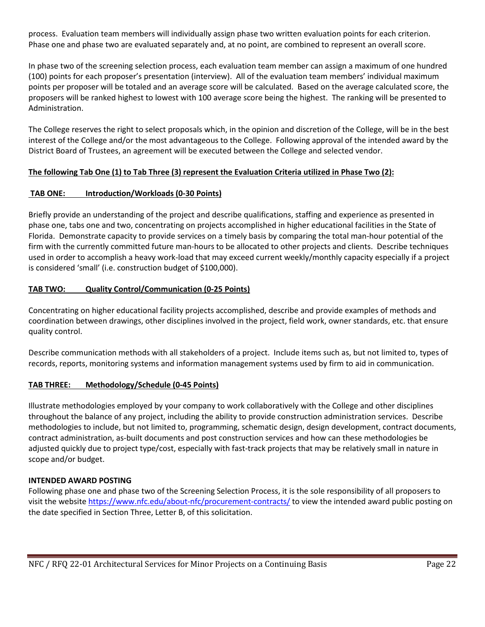process. Evaluation team members will individually assign phase two written evaluation points for each criterion. Phase one and phase two are evaluated separately and, at no point, are combined to represent an overall score.

In phase two of the screening selection process, each evaluation team member can assign a maximum of one hundred (100) points for each proposer's presentation (interview). All of the evaluation team members' individual maximum points per proposer will be totaled and an average score will be calculated. Based on the average calculated score, the proposers will be ranked highest to lowest with 100 average score being the highest. The ranking will be presented to Administration.

The College reserves the right to select proposals which, in the opinion and discretion of the College, will be in the best interest of the College and/or the most advantageous to the College. Following approval of the intended award by the District Board of Trustees, an agreement will be executed between the College and selected vendor.

## **The following Tab One (1) to Tab Three (3) represent the Evaluation Criteria utilized in Phase Two (2):**

#### **TAB ONE: Introduction/Workloads (0-30 Points)**

Briefly provide an understanding of the project and describe qualifications, staffing and experience as presented in phase one, tabs one and two, concentrating on projects accomplished in higher educational facilities in the State of Florida. Demonstrate capacity to provide services on a timely basis by comparing the total man-hour potential of the firm with the currently committed future man-hours to be allocated to other projects and clients. Describe techniques used in order to accomplish a heavy work-load that may exceed current weekly/monthly capacity especially if a project is considered 'small' (i.e. construction budget of \$100,000).

## **TAB TWO: Quality Control/Communication (0-25 Points)**

Concentrating on higher educational facility projects accomplished, describe and provide examples of methods and coordination between drawings, other disciplines involved in the project, field work, owner standards, etc. that ensure quality control.

Describe communication methods with all stakeholders of a project. Include items such as, but not limited to, types of records, reports, monitoring systems and information management systems used by firm to aid in communication.

#### **TAB THREE: Methodology/Schedule (0-45 Points)**

Illustrate methodologies employed by your company to work collaboratively with the College and other disciplines throughout the balance of any project, including the ability to provide construction administration services. Describe methodologies to include, but not limited to, programming, schematic design, design development, contract documents, contract administration, as-built documents and post construction services and how can these methodologies be adjusted quickly due to project type/cost, especially with fast-track projects that may be relatively small in nature in scope and/or budget.

## **INTENDED AWARD POSTING**

Following phase one and phase two of the Screening Selection Process, it is the sole responsibility of all proposers to visit the websit[e https://www.nfc.edu/about-nfc/procurement-contracts/](https://www.nfc.edu/about-nfc/procurement-contracts/) to view the intended award public posting on the date specified in Section Three, Letter B, of this solicitation.